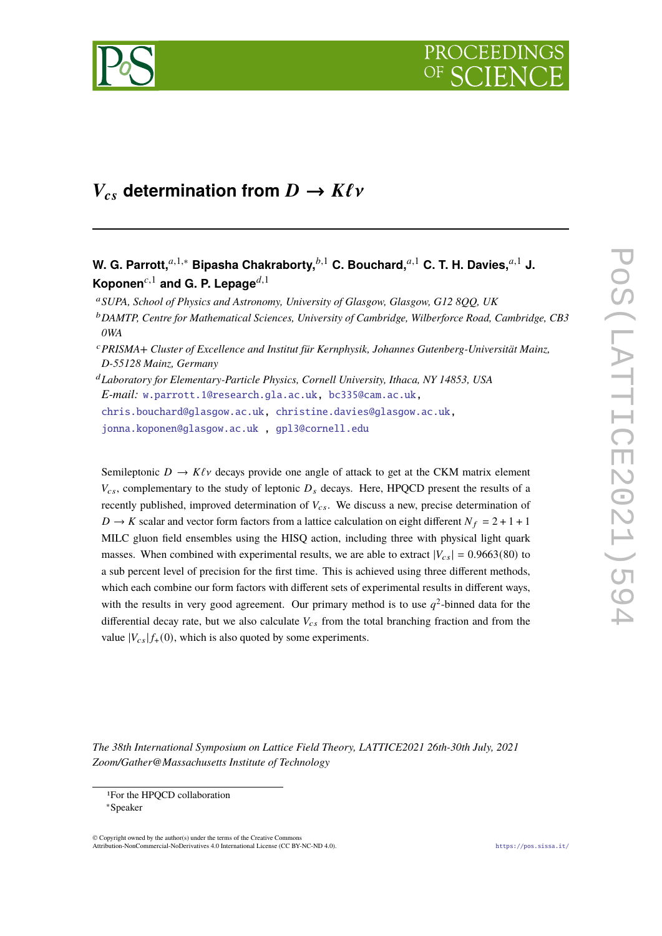

# $V_{cs}$  determination from  $D \to K \ell \nu$

# W. G. Parrott,<sup>*a*,1,∗</sup> Bipasha Chakraborty,<sup>*b*,1</sup> C. Bouchard,<sup>*a*,1</sup> C. T. H. Davies,<sup>*a*,1</sup> J. Koponen<sup>c,1</sup> and G. P. Lepage<sup>d,1</sup>

<sup>𝑎</sup>*SUPA, School of Physics and Astronomy, University of Glasgow, Glasgow, G12 8QQ, UK*

<sup>b</sup> DAMTP, Centre for Mathematical Sciences, University of Cambridge, Wilberforce Road, Cambridge, CB3 *0WA*

<sup>𝑐</sup>*PRISMA+ Cluster of Excellence and Institut für Kernphysik, Johannes Gutenberg-Universität Mainz, D-55128 Mainz, Germany*

<sup>𝑑</sup>*Laboratory for Elementary-Particle Physics, Cornell University, Ithaca, NY 14853, USA E-mail:* [w.parrott.1@research.gla.ac.uk,](mailto:w.parrott.1@research.gla.ac.uk) [bc335@cam.ac.uk,](mailto:bc335@cam.ac.uk) [chris.bouchard@glasgow.ac.uk,](mailto:chris.bouchard@glasgow.ac.uk) [christine.davies@glasgow.ac.uk,](mailto:christine.davies@glasgow.ac.uk)

[jonna.koponen@glasgow.ac.uk](mailto:jonna.koponen@glasgow.ac.uk ) , [gpl3@cornell.edu](mailto:gpl3@cornell.edu)

Semileptonic  $D \to K\ell\nu$  decays provide one angle of attack to get at the CKM matrix element  $V_{cs}$ , complementary to the study of leptonic  $D_s$  decays. Here, HPQCD present the results of a recently published, improved determination of  $V_{cs}$ . We discuss a new, precise determination of  $D \rightarrow K$  scalar and vector form factors from a lattice calculation on eight different  $N_f = 2 + 1 + 1$ MILC gluon field ensembles using the HISQ action, including three with physical light quark masses. When combined with experimental results, we are able to extract  $|V_{cs}| = 0.9663(80)$  to a sub percent level of precision for the first time. This is achieved using three different methods, which each combine our form factors with different sets of experimental results in different ways, with the results in very good agreement. Our primary method is to use  $q^2$ -binned data for the differential decay rate, but we also calculate  $V_{cs}$  from the total branching fraction and from the value  $|V_{cs}| f_+(0)$ , which is also quoted by some experiments.

*The 38th International Symposium on Lattice Field Theory, LATTICE2021 26th-30th July, 2021 Zoom/Gather@Massachusetts Institute of Technology*

© Copyright owned by the author(s) under the terms of the Creative Common Attribution-NonCommercial-NoDerivatives 4.0 International License (CC BY-NC-ND 4.0). <https://pos.sissa.it/>

<sup>1</sup>For the HPQCD collaboration

<sup>∗</sup>Speaker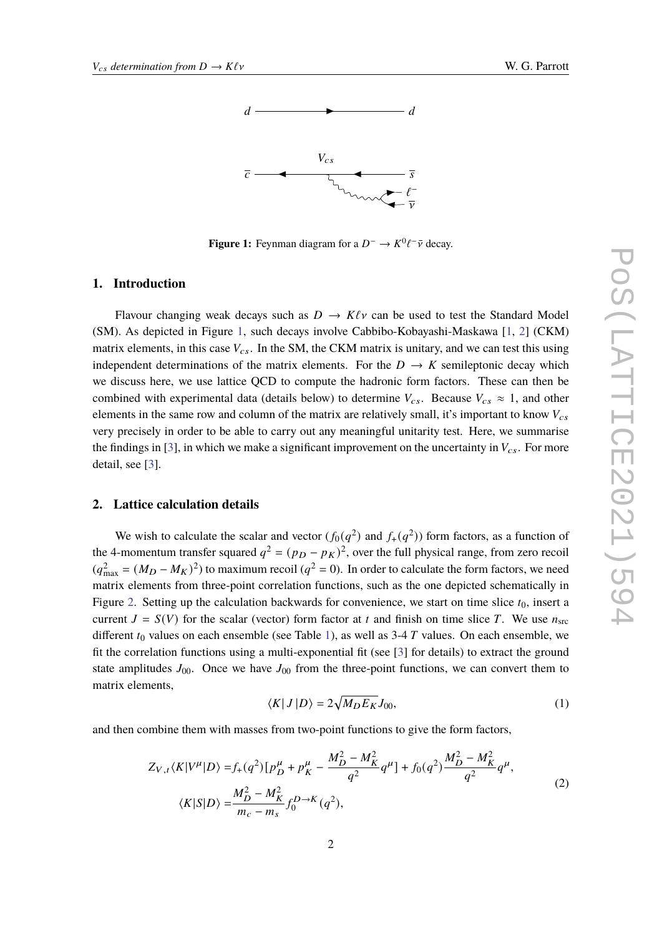<span id="page-1-0"></span>

**Figure 1:** Feynman diagram for a  $D^- \to K^0 \ell^- \bar{\nu}$  decay.

#### **1. Introduction**

Flavour changing weak decays such as  $D \to K\ell\nu$  can be used to test the Standard Model (SM). As depicted in Figure [1,](#page-1-0) such decays involve Cabbibo-Kobayashi-Maskawa [\[1,](#page-6-0) [2\]](#page-7-0) (CKM) matrix elements, in this case  $V_{cs}$ . In the SM, the CKM matrix is unitary, and we can test this using independent determinations of the matrix elements. For the  $D \to K$  semileptonic decay which we discuss here, we use lattice QCD to compute the hadronic form factors. These can then be combined with experimental data (details below) to determine  $V_{cs}$ . Because  $V_{cs} \approx 1$ , and other elements in the same row and column of the matrix are relatively small, it's important to know  $V_{cs}$ very precisely in order to be able to carry out any meaningful unitarity test. Here, we summarise the findings in [\[3\]](#page-7-1), in which we make a significant improvement on the uncertainty in  $V_{cs}$ . For more detail, see [\[3\]](#page-7-1).

# **2. Lattice calculation details**

We wish to calculate the scalar and vector  $(f_0(q^2)$  and  $f_+(q^2))$  form factors, as a function of the 4-momentum transfer squared  $q^2 = (p_D - p_K)^2$ , over the full physical range, from zero recoil  $(q_{\text{max}}^2 = (M_D - M_K)^2)$  to maximum recoil  $(q^2 = 0)$ . In order to calculate the form factors, we need matrix elements from three-point correlation functions, such as the one depicted schematically in Figure [2.](#page-2-0) Setting up the calculation backwards for convenience, we start on time slice  $t_0$ , insert a current  $J = S(V)$  for the scalar (vector) form factor at t and finish on time slice T. We use  $n_{src}$ different  $t_0$  values on each ensemble (see Table [1\)](#page-2-1), as well as 3-4 T values. On each ensemble, we fit the correlation functions using a multi-exponential fit (see [\[3\]](#page-7-1) for details) to extract the ground state amplitudes  $J_{00}$ . Once we have  $J_{00}$  from the three-point functions, we can convert them to matrix elements,

$$
\langle K|J|D\rangle = 2\sqrt{M_D E_K} J_{00},\qquad(1)
$$

and then combine them with masses from two-point functions to give the form factors,

$$
Z_{V,t}\langle K|V^{\mu}|D\rangle = f_{+}(q^{2})\left[p_{D}^{\mu} + p_{K}^{\mu} - \frac{M_{D}^{2} - M_{K}^{2}}{q^{2}}q^{\mu}\right] + f_{0}(q^{2})\frac{M_{D}^{2} - M_{K}^{2}}{q^{2}}q^{\mu},
$$
  
\n
$$
\langle K|S|D\rangle = \frac{M_{D}^{2} - M_{K}^{2}}{m_{c} - m_{s}}f_{0}^{D \to K}(q^{2}),
$$
\n(2)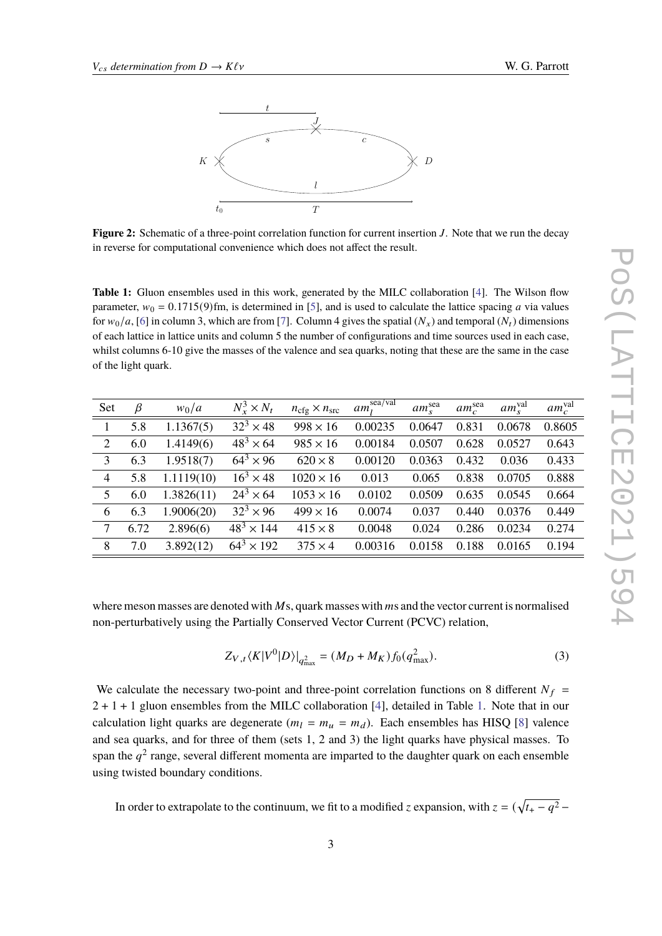<span id="page-2-0"></span>

**Figure 2:** Schematic of a three-point correlation function for current insertion *J*. Note that we run the decay in reverse for computational convenience which does not affect the result.

<span id="page-2-1"></span>**Table 1:** Gluon ensembles used in this work, generated by the MILC collaboration [\[4\]](#page-7-2). The Wilson flow parameter,  $w_0 = 0.1715(9)$ fm, is determined in [\[5\]](#page-7-3), and is used to calculate the lattice spacing a via values for  $w_0/a$ , [\[6\]](#page-7-4) in column 3, which are from [\[7\]](#page-7-5). Column 4 gives the spatial  $(N_x)$  and temporal  $(N_t)$  dimensions of each lattice in lattice units and column 5 the number of configurations and time sources used in each case, whilst columns 6-10 give the masses of the valence and sea quarks, noting that these are the same in the case of the light quark.

| <b>Set</b> | $\beta$ | $w_0/a$    | $N_r^3 \times N_t$ | $n_{\text{cfg}} \times n_{\text{src}}$ | $am_l^{\overline{\text{sea/val}}}$ | $am_{s}^{\text{sea}}$ | $am_c^{\text{sea}}$ | $am_{s}^{\text{val}}$ | $am_c^{\text{val}}$ |
|------------|---------|------------|--------------------|----------------------------------------|------------------------------------|-----------------------|---------------------|-----------------------|---------------------|
| 1          | 5.8     | 1.1367(5)  | $32^3 \times 48$   | $998 \times 16$                        | 0.00235                            | 0.0647                | 0.831               | 0.0678                | 0.8605              |
| 2          | 6.0     | 1.4149(6)  | $48^3 \times 64$   | $985 \times 16$                        | 0.00184                            | 0.0507                | 0.628               | 0.0527                | 0.643               |
| 3          | 6.3     | 1.9518(7)  | $64^3 \times 96$   | $620 \times 8$                         | 0.00120                            | 0.0363                | 0.432               | 0.036                 | 0.433               |
| 4          | 5.8     | 1.1119(10) | $16^3 \times 48$   | $1020 \times 16$                       | 0.013                              | 0.065                 | 0.838               | 0.0705                | 0.888               |
| 5          | 6.0     | 1.3826(11) | $24^3 \times 64$   | $1053 \times 16$                       | 0.0102                             | 0.0509                | 0.635               | 0.0545                | 0.664               |
| 6          | 6.3     | 1.9006(20) | $32^3 \times 96$   | $499 \times 16$                        | 0.0074                             | 0.037                 | 0.440               | 0.0376                | 0.449               |
| 7          | 6.72    | 2.896(6)   | $48^3 \times 144$  | $415 \times 8$                         | 0.0048                             | 0.024                 | 0.286               | 0.0234                | 0.274               |
| 8          | 7.0     | 3.892(12)  | $64^3 \times 192$  | $375 \times 4$                         | 0.00316                            | 0.0158                | 0.188               | 0.0165                | 0.194               |

where meson masses are denoted with  $M$ s, quark masses with  $m$ s and the vector current is normalised non-perturbatively using the Partially Conserved Vector Current (PCVC) relation,

$$
Z_{V,t} \langle K|V^0|D\rangle|_{q^2_{\text{max}}} = (M_D + M_K)f_0(q^2_{\text{max}}). \tag{3}
$$

We calculate the necessary two-point and three-point correlation functions on 8 different  $N_f$  =  $2 + 1 + 1$  gluon ensembles from the MILC collaboration [\[4\]](#page-7-2), detailed in Table [1.](#page-2-1) Note that in our calculation light quarks are degenerate  $(m_l = m_u = m_d)$ . Each ensembles has HISQ [\[8\]](#page-7-6) valence and sea quarks, and for three of them (sets 1, 2 and 3) the light quarks have physical masses. To span the  $a^2$  range, several different momenta are imparted to the daughter quark on each ensemble using twisted boundary conditions.

In order to extrapolate to the continuum, we fit to a modified *z* expansion, with  $z = (\sqrt{t_+ - q^2} - t_0)^{-1}$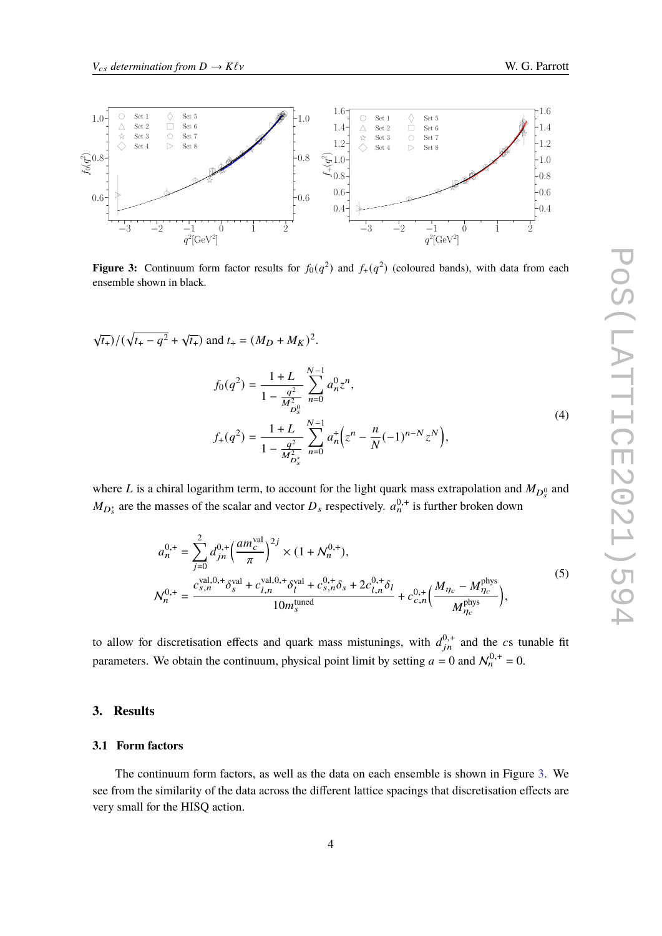<span id="page-3-0"></span>

**Figure 3:** Continuum form factor results for  $f_0(q^2)$  and  $f_+(q^2)$  (coloured bands), with data from each ensemble shown in black.

$$
\sqrt{t_+}
$$
)/( $\sqrt{t_+ - q^2} + \sqrt{t_+}$ ) and  $t_+ = (M_D + M_K)^2$ .

$$
f_0(q^2) = \frac{1+L}{1-\frac{q^2}{M_{D_s^0}^2}} \sum_{n=0}^{N-1} a_n^0 z^n,
$$
  

$$
f_+(q^2) = \frac{1+L}{1-\frac{q^2}{M_{D_s^*}^2}} \sum_{n=0}^{N-1} a_n^+ \left(z^n - \frac{n}{N}(-1)^{n-N} z^N\right),
$$
 (4)

where L is a chiral logarithm term, to account for the light quark mass extrapolation and  $M_{D_s^0}$  and  $M_{D_s^*}$  are the masses of the scalar and vector  $D_s$  respectively.  $a_n^{0,+}$  is further broken down

$$
a_n^{0,+} = \sum_{j=0}^{2} d_{jn}^{0,+} \left(\frac{am_c^{\text{val}}}{\pi}\right)^{2j} \times (1 + N_n^{0,+}),
$$
  

$$
N_n^{0,+} = \frac{c_{s,n}^{\text{val},0,+} \delta_s^{\text{val}} + c_{l,n}^{\text{val},0,+} \delta_l^{\text{val}} + c_{s,n}^{0,+} \delta_s + 2c_{l,n}^{0,+} \delta_l}{10m_s^{\text{tuned}}} + c_{c,n}^{0,+} \left(\frac{M_{\eta_c} - M_{\eta_c}^{\text{phys}}}{M_{\eta_c}^{\text{phys}}}\right),
$$
 (5)

to allow for discretisation effects and quark mass mistunings, with  $d_{in}^{0,+}$  and the cs tunable fit parameters. We obtain the continuum, physical point limit by setting  $a = 0$  and  $\mathcal{N}_n^{0,+} = 0$ .

# **3. Results**

### **3.1 Form factors**

The continuum form factors, as well as the data on each ensemble is shown in Figure [3.](#page-3-0) We see from the similarity of the data across the different lattice spacings that discretisation effects are very small for the HISQ action.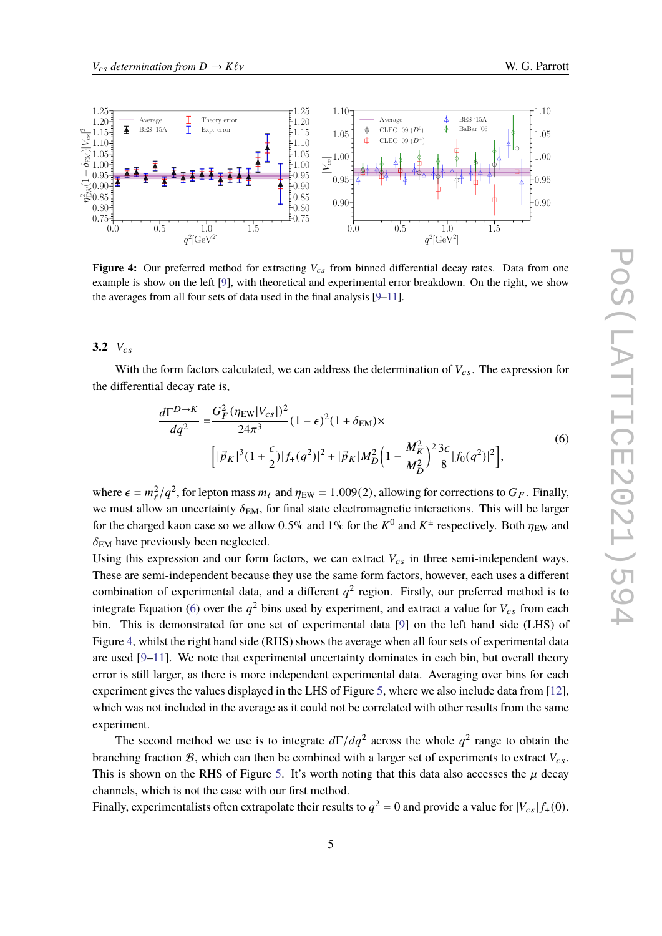<span id="page-4-1"></span>

**Figure 4:** Our preferred method for extracting  $V_{cs}$  from binned differential decay rates. Data from one example is show on the left [\[9\]](#page-7-7), with theoretical and experimental error breakdown. On the right, we show the averages from all four sets of data used in the final analysis [\[9](#page-7-7)[–11\]](#page-7-8).

 $3.2 V_{cs}$ 

With the form factors calculated, we can address the determination of  $V_{cs}$ . The expression for the differential decay rate is,

$$
\frac{d\Gamma^{D\to K}}{dq^2} = \frac{G_F^2 (\eta_{\rm EW}|V_{cs}|)^2}{24\pi^3} (1 - \epsilon)^2 (1 + \delta_{\rm EM}) \times \left[ |\vec{p}_K|^3 (1 + \frac{\epsilon}{2}) |f_+(q^2)|^2 + |\vec{p}_K| M_D^2 (1 - \frac{M_K^2}{M_D^2})^2 \frac{3\epsilon}{8} |f_0(q^2)|^2 \right],
$$
\n(6)

<span id="page-4-0"></span>where  $\epsilon = m_{\ell}^2/q^2$ , for lepton mass  $m_{\ell}$  and  $\eta_{EW} = 1.009(2)$ , allowing for corrections to  $G_F$ . Finally, we must allow an uncertainty  $\delta_{EM}$ , for final state electromagnetic interactions. This will be larger for the charged kaon case so we allow 0.5% and 1% for the  $K^0$  and  $K^{\pm}$  respectively. Both  $\eta_{\text{EW}}$  and  $\delta_{\text{EM}}$  have previously been neglected.

Using this expression and our form factors, we can extract  $V_{cs}$  in three semi-independent ways. These are semi-independent because they use the same form factors, however, each uses a different combination of experimental data, and a different  $q^2$  region. Firstly, our preferred method is to integrate Equation [\(6\)](#page-4-0) over the  $q^2$  bins used by experiment, and extract a value for  $V_{cs}$  from each bin. This is demonstrated for one set of experimental data [\[9\]](#page-7-7) on the left hand side (LHS) of Figure [4,](#page-4-1) whilst the right hand side (RHS) shows the average when all four sets of experimental data are used  $[9-11]$  $[9-11]$ . We note that experimental uncertainty dominates in each bin, but overall theory error is still larger, as there is more independent experimental data. Averaging over bins for each experiment gives the values displayed in the LHS of Figure [5,](#page-5-0) where we also include data from [\[12\]](#page-7-9), which was not included in the average as it could not be correlated with other results from the same experiment.

The second method we use is to integrate  $d\Gamma/dq^2$  across the whole  $q^2$  range to obtain the branching fraction  $\mathcal{B}$ , which can then be combined with a larger set of experiments to extract  $V_{cs}$ . This is shown on the RHS of Figure [5.](#page-5-0) It's worth noting that this data also accesses the  $\mu$  decay channels, which is not the case with our first method.

Finally, experimentalists often extrapolate their results to  $q^2 = 0$  and provide a value for  $|V_{cs}| f_+(0)$ .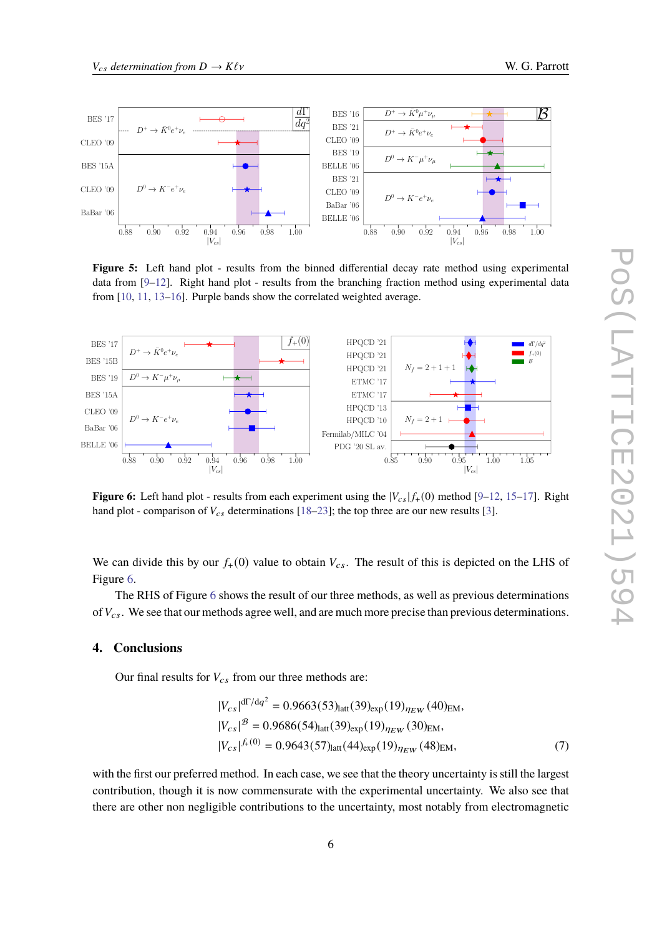<span id="page-5-0"></span>

**Figure 5:** Left hand plot - results from the binned differential decay rate method using experimental data from [\[9–](#page-7-7)[12\]](#page-7-9). Right hand plot - results from the branching fraction method using experimental data from [\[10,](#page-7-10) [11,](#page-7-8) [13](#page-7-11)[–16\]](#page-7-12). Purple bands show the correlated weighted average.

<span id="page-5-1"></span>

**Figure 6:** Left hand plot - results from each experiment using the  $|V_{cs}|f_{+}(0)$  method [\[9–](#page-7-7)[12,](#page-7-9) [15–](#page-7-13)[17\]](#page-7-14). Right hand plot - comparison of  $V_{cs}$  determinations [\[18](#page-7-15)[–23\]](#page-8-0); the top three are our new results [\[3\]](#page-7-1).

We can divide this by our  $f_{+}(0)$  value to obtain  $V_{cs}$ . The result of this is depicted on the LHS of Figure [6.](#page-5-1)

The RHS of Figure [6](#page-5-1) shows the result of our three methods, as well as previous determinations of  $V_{cs}$ . We see that our methods agree well, and are much more precise than previous determinations.

### **4. Conclusions**

Our final results for  $V_{cs}$  from our three methods are:

$$
|V_{cs}|^{d\Gamma/dq^2} = 0.9663(53)_{\text{latt}}(39)_{\text{exp}}(19)_{\eta_{EW}}(40)_{\text{EM}},
$$
  
\n
$$
|V_{cs}|^B = 0.9686(54)_{\text{latt}}(39)_{\text{exp}}(19)_{\eta_{EW}}(30)_{\text{EM}},
$$
  
\n
$$
|V_{cs}|^{f_+(0)} = 0.9643(57)_{\text{latt}}(44)_{\text{exp}}(19)_{\eta_{EW}}(48)_{\text{EM}},
$$
 (7)

with the first our preferred method. In each case, we see that the theory uncertainty is still the largest contribution, though it is now commensurate with the experimental uncertainty. We also see that there are other non negligible contributions to the uncertainty, most notably from electromagnetic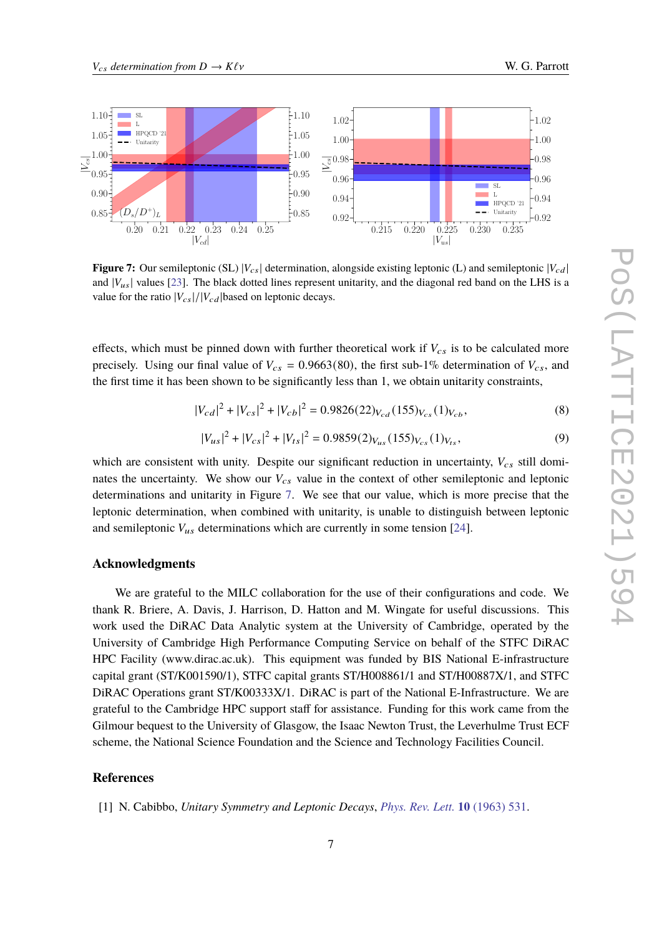<span id="page-6-1"></span>

**Figure 7:** Our semileptonic (SL)  $|V_{cs}|$  determination, alongside existing leptonic (L) and semileptonic  $|V_{cd}|$ and  $|V_{us}|$  values [\[23\]](#page-8-0). The black dotted lines represent unitarity, and the diagonal red band on the LHS is a value for the ratio  $|V_{cs}|/|V_{cd}|$  based on leptonic decays.

effects, which must be pinned down with further theoretical work if  $V_{cs}$  is to be calculated more precisely. Using our final value of  $V_{cs} = 0.9663(80)$ , the first sub-1% determination of  $V_{cs}$ , and the first time it has been shown to be significantly less than 1, we obtain unitarity constraints,

$$
|V_{cd}|^2 + |V_{cs}|^2 + |V_{cb}|^2 = 0.9826(22)_{V_{cd}}(155)_{V_{cs}}(1)_{V_{cb}},
$$
\n(8)

$$
|V_{us}|^2 + |V_{cs}|^2 + |V_{ts}|^2 = 0.9859(2)_{V_{us}}(155)_{V_{cs}}(1)_{V_{ts}},
$$
\n(9)

which are consistent with unity. Despite our significant reduction in uncertainty,  $V_{cs}$  still dominates the uncertainty. We show our  $V_{cs}$  value in the context of other semileptonic and leptonic determinations and unitarity in Figure [7.](#page-6-1) We see that our value, which is more precise that the leptonic determination, when combined with unitarity, is unable to distinguish between leptonic and semileptonic  $V_{\mu s}$  determinations which are currently in some tension [\[24\]](#page-8-1).

## **Acknowledgments**

We are grateful to the MILC collaboration for the use of their configurations and code. We thank R. Briere, A. Davis, J. Harrison, D. Hatton and M. Wingate for useful discussions. This work used the DiRAC Data Analytic system at the University of Cambridge, operated by the University of Cambridge High Performance Computing Service on behalf of the STFC DiRAC HPC Facility (www.dirac.ac.uk). This equipment was funded by BIS National E-infrastructure capital grant (ST/K001590/1), STFC capital grants ST/H008861/1 and ST/H00887X/1, and STFC DiRAC Operations grant ST/K00333X/1. DiRAC is part of the National E-Infrastructure. We are grateful to the Cambridge HPC support staff for assistance. Funding for this work came from the Gilmour bequest to the University of Glasgow, the Isaac Newton Trust, the Leverhulme Trust ECF scheme, the National Science Foundation and the Science and Technology Facilities Council.

# **References**

<span id="page-6-0"></span>[1] N. Cabibbo, *Unitary Symmetry and Leptonic Decays*, *[Phys. Rev. Lett.](https://doi.org/10.1103/PhysRevLett.10.531)* **10** (1963) 531.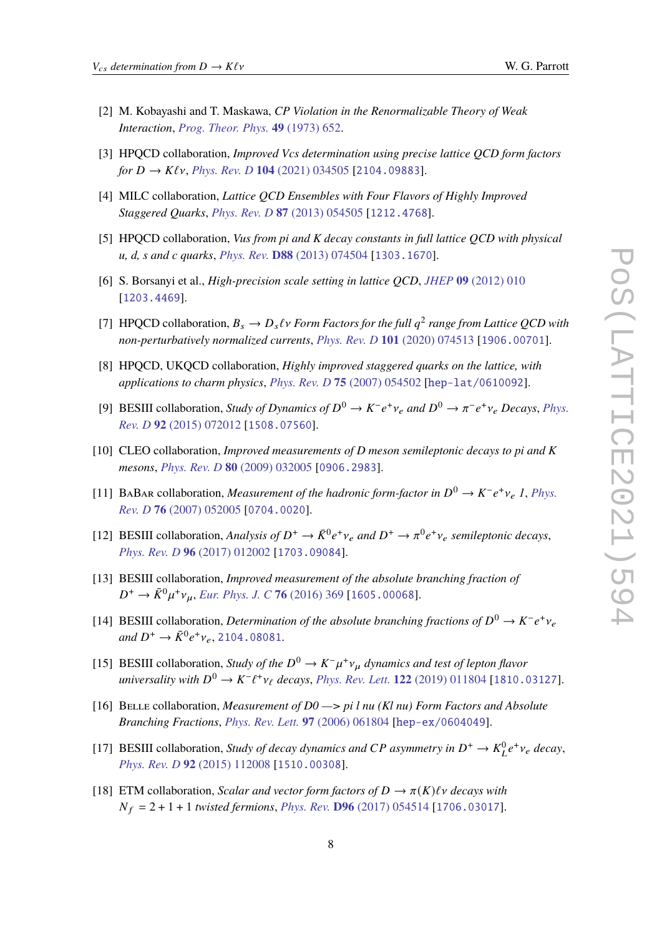- <span id="page-7-0"></span>[2] M. Kobayashi and T. Maskawa, *CP Violation in the Renormalizable Theory of Weak Interaction*, *[Prog. Theor. Phys.](https://doi.org/10.1143/PTP.49.652)* **49** (1973) 652.
- <span id="page-7-1"></span>[3] HPQCD collaboration, *Improved Vcs determination using precise lattice QCD form factors for*  $D \to K\ell\nu$ , *Phys. Rev. D* **104** (2021) 034505 [[2104.09883](https://arxiv.org/abs/2104.09883)].
- <span id="page-7-2"></span>[4] MILC collaboration, *Lattice QCD Ensembles with Four Flavors of Highly Improved Staggered Quarks*, *[Phys. Rev. D](https://doi.org/10.1103/PhysRevD.87.054505)* **87** (2013) 054505 [[1212.4768](https://arxiv.org/abs/1212.4768)].
- <span id="page-7-3"></span>[5] HPQCD collaboration, *Vus from pi and K decay constants in full lattice QCD with physical u, d, s and c quarks*, *Phys. Rev.* **D88** [\(2013\) 074504](https://doi.org/10.1103/PhysRevD.88.074504) [[1303.1670](https://arxiv.org/abs/1303.1670)].
- <span id="page-7-4"></span>[6] S. Borsanyi et al., *High-precision scale setting in lattice QCD*, *JHEP* **09** [\(2012\) 010](https://doi.org/10.1007/JHEP09(2012)010) [[1203.4469](https://arxiv.org/abs/1203.4469)].
- <span id="page-7-5"></span>[7] HPQCD collaboration,  $B_s \to D_s \ell v$  Form Factors for the full  $q^2$  range from Lattice QCD with *non-perturbatively normalized currents*, *[Phys. Rev. D](https://doi.org/10.1103/PhysRevD.101.074513)* **101** (2020) 074513 [[1906.00701](https://arxiv.org/abs/1906.00701)].
- <span id="page-7-6"></span>[8] HPQCD, UKQCD collaboration, *Highly improved staggered quarks on the lattice, with applications to charm physics*, *[Phys. Rev. D](https://doi.org/10.1103/PhysRevD.75.054502)* **75** (2007) 054502 [[hep-lat/0610092](https://arxiv.org/abs/hep-lat/0610092)].
- <span id="page-7-7"></span>[9] BESIII collaboration, *Study of Dynamics of*  $D^0 \to K^- e^+ \nu_e$  and  $D^0 \to \pi^- e^+ \nu_e$  Decays, *[Phys.](https://doi.org/10.1103/PhysRevD.92.072012) Rev. D* **92** [\(2015\) 072012](https://doi.org/10.1103/PhysRevD.92.072012) [[1508.07560](https://arxiv.org/abs/1508.07560)].
- <span id="page-7-10"></span>[10] CLEO collaboration, *Improved measurements of D meson semileptonic decays to pi and K mesons*, *[Phys. Rev. D](https://doi.org/10.1103/PhysRevD.80.032005)* **80** (2009) 032005 [[0906.2983](https://arxiv.org/abs/0906.2983)].
- <span id="page-7-8"></span>[11] BABAR collaboration, *Measurement of the hadronic form-factor in*  $D^0 \to K^- e^+ \nu_e$  1, *[Phys.](https://doi.org/10.1103/PhysRevD.76.052005) Rev. D* **76** [\(2007\) 052005](https://doi.org/10.1103/PhysRevD.76.052005) [[0704.0020](https://arxiv.org/abs/0704.0020)].
- <span id="page-7-9"></span>[12] BESIII collaboration, *Analysis of*  $D^+ \to \bar{K}^0 e^+ \nu_e$  and  $D^+ \to \pi^0 e^+ \nu_e$  semileptonic decays, *[Phys. Rev. D](https://doi.org/10.1103/PhysRevD.96.012002)* **96** (2017) 012002 [[1703.09084](https://arxiv.org/abs/1703.09084)].
- <span id="page-7-11"></span>[13] BESIII collaboration, *Improved measurement of the absolute branching fraction of*  $D^+ \to \bar{K}^0 \mu^+ \nu_\mu$ , *[Eur. Phys. J. C](https://doi.org/10.1140/epjc/s10052-016-4198-2)* **76** (2016) 369 [[1605.00068](https://arxiv.org/abs/1605.00068)].
- [14] BESIII collaboration, *Determination of the absolute branching fractions of*  $D^0 \to K^- e^+ \nu_e$  $and D^+ \to \bar{K}^0 e^+ \nu_e, 2104.08081.$  $and D^+ \to \bar{K}^0 e^+ \nu_e, 2104.08081.$  $and D^+ \to \bar{K}^0 e^+ \nu_e, 2104.08081.$
- <span id="page-7-13"></span>[15] BESIII collaboration, *Study of the*  $D^0 \to K^- \mu^+ \nu_\mu$  *dynamics and test of lepton flavor*  $university with D^{0} \to K^{-}\ell^{+}v_{\ell}$  decays, *[Phys. Rev. Lett.](https://doi.org/10.1103/PhysRevLett.122.011804)* **122** (2019) 011804 [[1810.03127](https://arxiv.org/abs/1810.03127)].
- <span id="page-7-12"></span>[16] Belle collaboration, *Measurement of D0 —> pi l nu (Kl nu) Form Factors and Absolute Branching Fractions*, *[Phys. Rev. Lett.](https://doi.org/10.1103/PhysRevLett.97.061804)* **97** (2006) 061804 [[hep-ex/0604049](https://arxiv.org/abs/hep-ex/0604049)].
- <span id="page-7-14"></span>[17] BESIII collaboration, *Study of decay dynamics and CP asymmetry in*  $D^+ \to K^0_L e^+ \nu_e$  *decay*, *[Phys. Rev. D](https://doi.org/10.1103/PhysRevD.92.112008)* **92** (2015) 112008 [[1510.00308](https://arxiv.org/abs/1510.00308)].
- <span id="page-7-15"></span>[18] ETM collaboration, *Scalar and vector form factors of*  $D \to \pi(K)\ell\nu$  *decays with*  $N_f = 2 + 1 + 1$  *twisted fermions, Phys. Rev.* **D96** [\(2017\) 054514](https://doi.org/10.1103/PhysRevD.100.079901, 10.1103/PhysRevD.96.054514, 10.1103/PhysRevD.99.099902) [[1706.03017](https://arxiv.org/abs/1706.03017)].